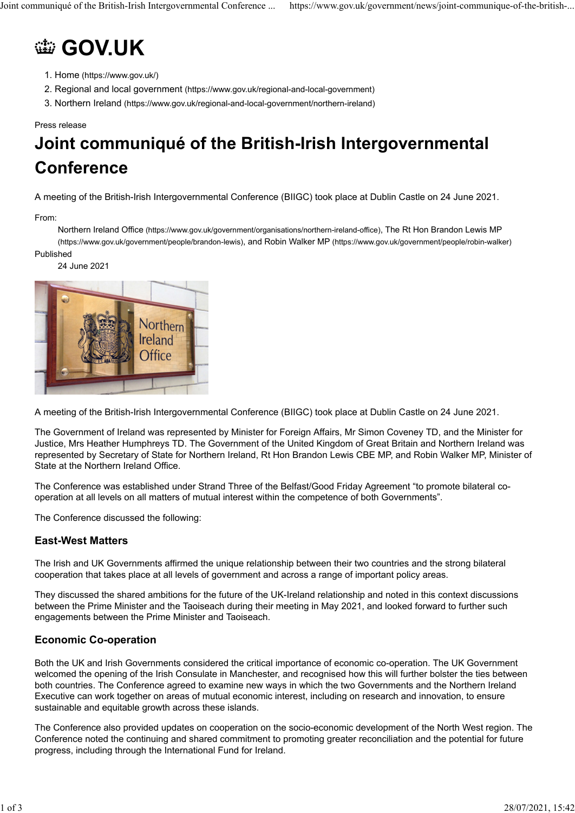# **@ [GOV.UK](https://www.gov.uk/)**

- 1. [Home \(https://www.gov.uk/\)](https://www.gov.uk/)
- 2. [Regional and local government \(https://www.gov.uk/regional-and-local-government\)](https://www.gov.uk/regional-and-local-government)
- 3. [Northern Ireland \(https://www.gov.uk/regional-and-local-government/northern-ireland\)](https://www.gov.uk/regional-and-local-government/northern-ireland)

#### Press release

## **Joint communiqué of the British-Irish Intergovernmental Conference**

A meeting of the British-Irish Intergovernmental Conference (BIIGC) took place at Dublin Castle on 24 June 2021.

From:

[Northern Ireland Office \(https://www.gov.uk/government/organisations/northern-ireland-office\),](https://www.gov.uk/government/organisations/northern-ireland-office) [The Rt Hon Brandon Lewis MP](https://www.gov.uk/government/people/brandon-lewis) [\(https://www.gov.uk/government/people/brandon-lewis\),](https://www.gov.uk/government/people/brandon-lewis) and [Robin Walker MP \(https://www.gov.uk/government/people/robin-walker\)](https://www.gov.uk/government/people/robin-walker) Published

24 June 2021



A meeting of the British-Irish Intergovernmental Conference (BIIGC) took place at Dublin Castle on 24 June 2021.

The Government of Ireland was represented by Minister for Foreign Affairs, Mr Simon Coveney TD, and the Minister for Justice, Mrs Heather Humphreys TD. The Government of the United Kingdom of Great Britain and Northern Ireland was represented by Secretary of State for Northern Ireland, Rt Hon Brandon Lewis CBE MP, and Robin Walker MP, Minister of State at the Northern Ireland Office.

The Conference was established under Strand Three of the Belfast/Good Friday Agreement "to promote bilateral cooperation at all levels on all matters of mutual interest within the competence of both Governments".

The Conference discussed the following:

#### **East-West Matters**

The Irish and UK Governments affirmed the unique relationship between their two countries and the strong bilateral cooperation that takes place at all levels of government and across a range of important policy areas.

They discussed the shared ambitions for the future of the UK-Ireland relationship and noted in this context discussions between the Prime Minister and the Taoiseach during their meeting in May 2021, and looked forward to further such engagements between the Prime Minister and Taoiseach.

#### **Economic Co-operation**

Both the UK and Irish Governments considered the critical importance of economic co-operation. The UK Government welcomed the opening of the Irish Consulate in Manchester, and recognised how this will further bolster the ties between both countries. The Conference agreed to examine new ways in which the two Governments and the Northern Ireland Executive can work together on areas of mutual economic interest, including on research and innovation, to ensure sustainable and equitable growth across these islands.

The Conference also provided updates on cooperation on the socio-economic development of the North West region. The Conference noted the continuing and shared commitment to promoting greater reconciliation and the potential for future progress, including through the International Fund for Ireland.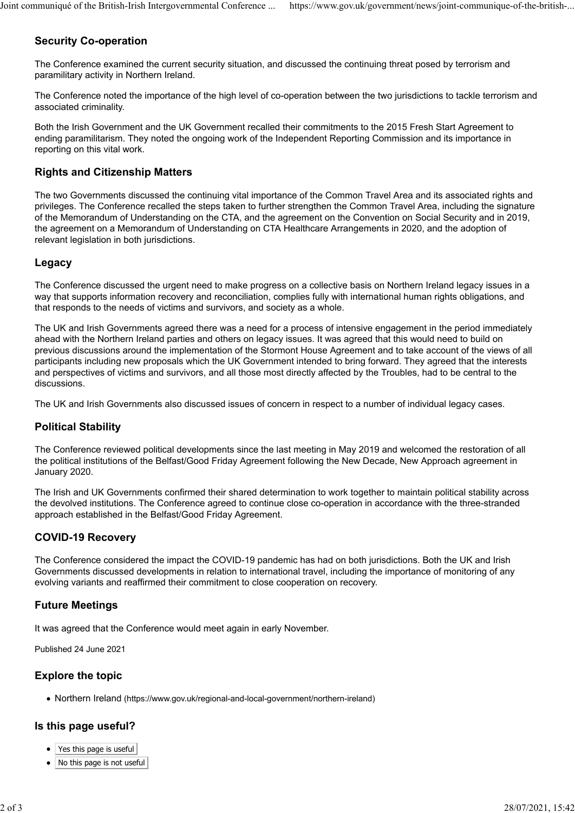## **Security Co-operation**

The Conference examined the current security situation, and discussed the continuing threat posed by terrorism and paramilitary activity in Northern Ireland.

The Conference noted the importance of the high level of co-operation between the two jurisdictions to tackle terrorism and associated criminality.

Both the Irish Government and the UK Government recalled their commitments to the 2015 Fresh Start Agreement to ending paramilitarism. They noted the ongoing work of the Independent Reporting Commission and its importance in reporting on this vital work.

## **Rights and Citizenship Matters**

The two Governments discussed the continuing vital importance of the Common Travel Area and its associated rights and privileges. The Conference recalled the steps taken to further strengthen the Common Travel Area, including the signature of the Memorandum of Understanding on the CTA, and the agreement on the Convention on Social Security and in 2019, the agreement on a Memorandum of Understanding on CTA Healthcare Arrangements in 2020, and the adoption of relevant legislation in both jurisdictions.

## **Legacy**

The Conference discussed the urgent need to make progress on a collective basis on Northern Ireland legacy issues in a way that supports information recovery and reconciliation, complies fully with international human rights obligations, and that responds to the needs of victims and survivors, and society as a whole.

The UK and Irish Governments agreed there was a need for a process of intensive engagement in the period immediately ahead with the Northern Ireland parties and others on legacy issues. It was agreed that this would need to build on previous discussions around the implementation of the Stormont House Agreement and to take account of the views of all participants including new proposals which the UK Government intended to bring forward. They agreed that the interests and perspectives of victims and survivors, and all those most directly affected by the Troubles, had to be central to the discussions.

The UK and Irish Governments also discussed issues of concern in respect to a number of individual legacy cases.

## **Political Stability**

The Conference reviewed political developments since the last meeting in May 2019 and welcomed the restoration of all the political institutions of the Belfast/Good Friday Agreement following the New Decade, New Approach agreement in January 2020.

The Irish and UK Governments confirmed their shared determination to work together to maintain political stability across the devolved institutions. The Conference agreed to continue close co-operation in accordance with the three-stranded approach established in the Belfast/Good Friday Agreement.

## **COVID-19 Recovery**

The Conference considered the impact the COVID-19 pandemic has had on both jurisdictions. Both the UK and Irish Governments discussed developments in relation to international travel, including the importance of monitoring of any evolving variants and reaffirmed their commitment to close cooperation on recovery.

## **Future Meetings**

It was agreed that the Conference would meet again in early November.

Published 24 June 2021

#### **Explore the topic**

[Northern Ireland \(https://www.gov.uk/regional-and-local-government/northern-ireland\)](https://www.gov.uk/regional-and-local-government/northern-ireland)

#### **Is this page useful?**

- Yes this page is useful
- No this page is not useful